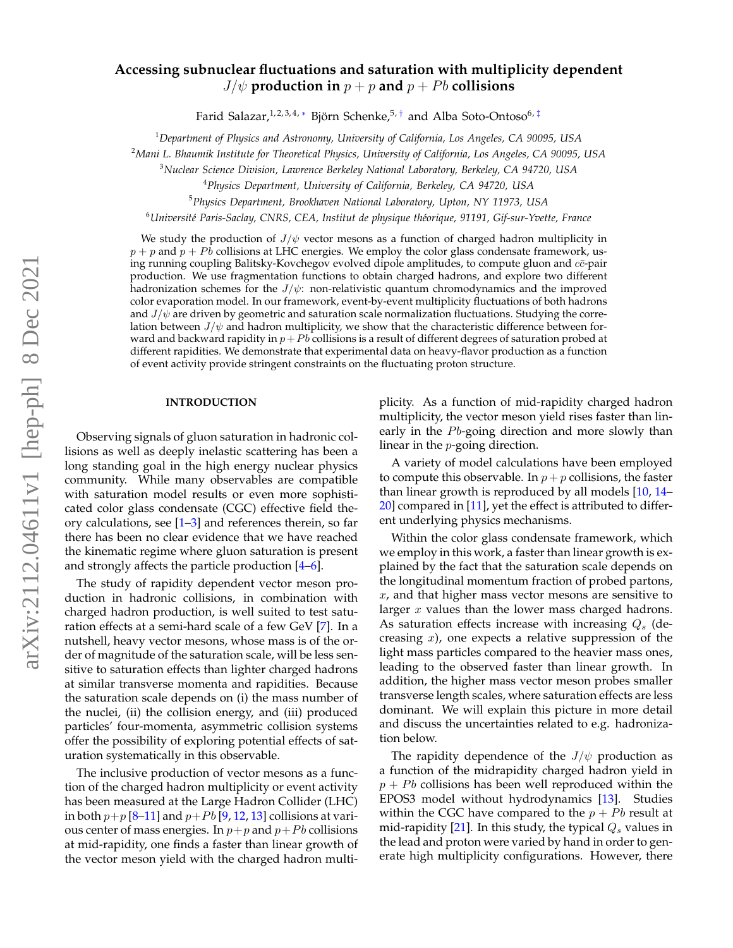# **Accessing subnuclear fluctuations and saturation with multiplicity dependent**  $J/\psi$  production in  $p + p$  and  $p + Pb$  collisions

Farid Salazar,<sup>1,2,3,4,[∗](#page-9-0)</sup> Björn Schenke,<sup>5,[†](#page-9-1)</sup> and Alba Soto-Ontoso<sup>6,[‡](#page-9-2)</sup>

<sup>1</sup>*Department of Physics and Astronomy, University of California, Los Angeles, CA 90095, USA*

<sup>2</sup>*Mani L. Bhaumik Institute for Theoretical Physics, University of California, Los Angeles, CA 90095, USA*

<sup>3</sup>*Nuclear Science Division, Lawrence Berkeley National Laboratory, Berkeley, CA 94720, USA*

<sup>4</sup>*Physics Department, University of California, Berkeley, CA 94720, USA*

<sup>5</sup>*Physics Department, Brookhaven National Laboratory, Upton, NY 11973, USA*

<sup>6</sup>*Universit´e Paris-Saclay, CNRS, CEA, Institut de physique th´eorique, 91191, Gif-sur-Yvette, France*

We study the production of  $J/\psi$  vector mesons as a function of charged hadron multiplicity in  $p + p$  and  $p + Pb$  collisions at LHC energies. We employ the color glass condensate framework, using running coupling Balitsky-Kovchegov evolved dipole amplitudes, to compute gluon and  $c\bar{c}$ -pair production. We use fragmentation functions to obtain charged hadrons, and explore two different hadronization schemes for the  $J/\psi$ : non-relativistic quantum chromodynamics and the improved color evaporation model. In our framework, event-by-event multiplicity fluctuations of both hadrons and  $J/\psi$  are driven by geometric and saturation scale normalization fluctuations. Studying the correlation between  $J/\psi$  and hadron multiplicity, we show that the characteristic difference between forward and backward rapidity in  $p + Pb$  collisions is a result of different degrees of saturation probed at different rapidities. We demonstrate that experimental data on heavy-flavor production as a function of event activity provide stringent constraints on the fluctuating proton structure.

# **INTRODUCTION**

Observing signals of gluon saturation in hadronic collisions as well as deeply inelastic scattering has been a long standing goal in the high energy nuclear physics community. While many observables are compatible with saturation model results or even more sophisticated color glass condensate (CGC) effective field theory calculations, see  $[1-3]$  $[1-3]$  and references therein, so far there has been no clear evidence that we have reached the kinematic regime where gluon saturation is present and strongly affects the particle production [\[4–](#page-9-5)[6\]](#page-9-6).

The study of rapidity dependent vector meson production in hadronic collisions, in combination with charged hadron production, is well suited to test saturation effects at a semi-hard scale of a few GeV [\[7\]](#page-9-7). In a nutshell, heavy vector mesons, whose mass is of the order of magnitude of the saturation scale, will be less sensitive to saturation effects than lighter charged hadrons at similar transverse momenta and rapidities. Because the saturation scale depends on (i) the mass number of the nuclei, (ii) the collision energy, and (iii) produced particles' four-momenta, asymmetric collision systems offer the possibility of exploring potential effects of saturation systematically in this observable.

The inclusive production of vector mesons as a function of the charged hadron multiplicity or event activity has been measured at the Large Hadron Collider (LHC) in both  $p+p$  [\[8–](#page-9-8)[11\]](#page-9-9) and  $p+Pb$  [\[9,](#page-9-10) [12,](#page-9-11) [13\]](#page-9-12) collisions at various center of mass energies. In  $p+p$  and  $p+Pb$  collisions at mid-rapidity, one finds a faster than linear growth of the vector meson yield with the charged hadron multiplicity. As a function of mid-rapidity charged hadron multiplicity, the vector meson yield rises faster than linearly in the  $Pb$ -going direction and more slowly than linear in the p-going direction.

A variety of model calculations have been employed to compute this observable. In  $p + p$  collisions, the faster than linear growth is reproduced by all models [\[10,](#page-9-13) [14–](#page-9-14) [20\]](#page-9-15) compared in [\[11\]](#page-9-9), yet the effect is attributed to different underlying physics mechanisms.

Within the color glass condensate framework, which we employ in this work, a faster than linear growth is explained by the fact that the saturation scale depends on the longitudinal momentum fraction of probed partons, x, and that higher mass vector mesons are sensitive to larger x values than the lower mass charged hadrons. As saturation effects increase with increasing  $Q_s$  (decreasing  $x$ ), one expects a relative suppression of the light mass particles compared to the heavier mass ones, leading to the observed faster than linear growth. In addition, the higher mass vector meson probes smaller transverse length scales, where saturation effects are less dominant. We will explain this picture in more detail and discuss the uncertainties related to e.g. hadronization below.

The rapidity dependence of the  $J/\psi$  production as a function of the midrapidity charged hadron yield in  $p + Pb$  collisions has been well reproduced within the EPOS3 model without hydrodynamics [\[13\]](#page-9-12). Studies within the CGC have compared to the  $p + Pb$  result at mid-rapidity [\[21\]](#page-9-16). In this study, the typical  $Q_s$  values in the lead and proton were varied by hand in order to generate high multiplicity configurations. However, there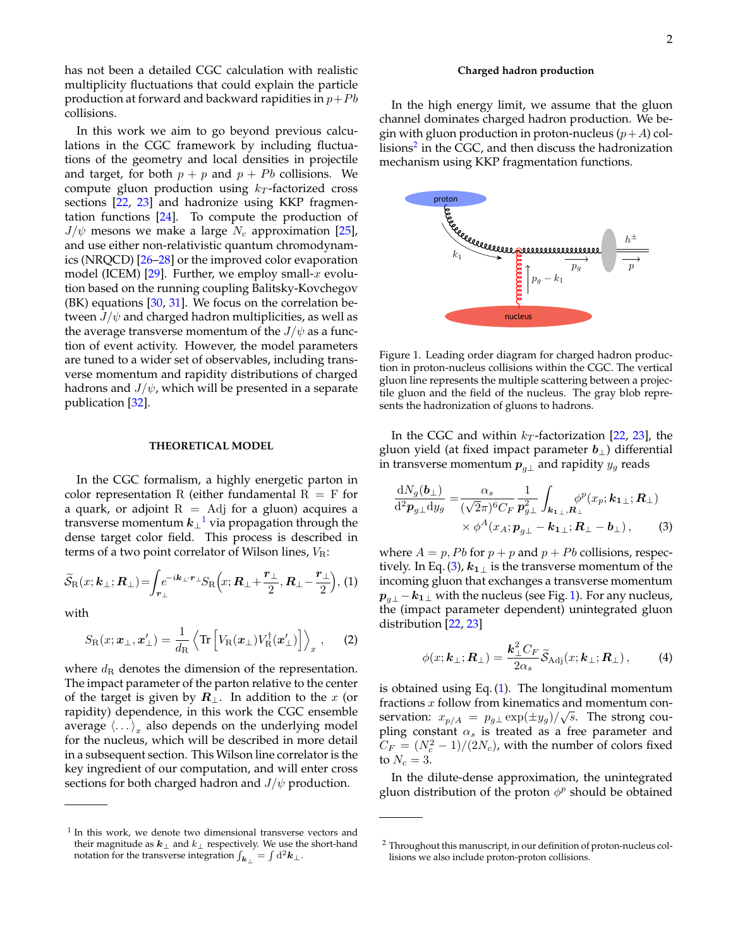has not been a detailed CGC calculation with realistic multiplicity fluctuations that could explain the particle production at forward and backward rapidities in  $p+Pb$ collisions.

In this work we aim to go beyond previous calculations in the CGC framework by including fluctuations of the geometry and local densities in projectile and target, for both  $p + p$  and  $p + Pb$  collisions. We compute gluon production using  $k_T$ -factorized cross sections [\[22,](#page-9-17) [23\]](#page-9-18) and hadronize using KKP fragmentation functions [\[24\]](#page-9-19). To compute the production of  $J/\psi$  mesons we make a large  $N_c$  approximation [\[25\]](#page-9-20), and use either non-relativistic quantum chromodynamics (NRQCD) [\[26–](#page-10-0)[28\]](#page-10-1) or the improved color evaporation model (ICEM) [\[29\]](#page-10-2). Further, we employ small-x evolution based on the running coupling Balitsky-Kovchegov (BK) equations [\[30,](#page-10-3) [31\]](#page-10-4). We focus on the correlation between  $J/\psi$  and charged hadron multiplicities, as well as the average transverse momentum of the  $J/\psi$  as a function of event activity. However, the model parameters are tuned to a wider set of observables, including transverse momentum and rapidity distributions of charged hadrons and  $J/\psi$ , which will be presented in a separate publication [\[32\]](#page-10-5).

## **THEORETICAL MODEL**

In the CGC formalism, a highly energetic parton in color representation R (either fundamental  $R = F$  for a quark, or adjoint  $R = Adj$  for a gluon) acquires a transverse momentum  $k_{\perp}^{-1}$  $k_{\perp}^{-1}$  $k_{\perp}^{-1}$  via propagation through the dense target color field. This process is described in terms of a two point correlator of Wilson lines,  $V_{\rm R}$ :

$$
\widetilde{\mathcal{S}}_{\rm R}(x;\boldsymbol{k}_{\perp};\boldsymbol{R}_{\perp}) = \int_{\boldsymbol{r}_{\perp}} e^{-i\boldsymbol{k}_{\perp}\cdot\boldsymbol{r}_{\perp}} S_{\rm R}\Big(x;\boldsymbol{R}_{\perp} + \frac{\boldsymbol{r}_{\perp}}{2},\boldsymbol{R}_{\perp} - \frac{\boldsymbol{r}_{\perp}}{2}\Big), (1)
$$

with

$$
S_{\rm R}(x; \boldsymbol{x}_{\perp}, \boldsymbol{x}'_{\perp}) = \frac{1}{d_{\rm R}} \left\langle {\rm Tr} \left[ V_{\rm R}(\boldsymbol{x}_{\perp}) V_{\rm R}^{\dagger}(\boldsymbol{x}'_{\perp}) \right] \right\rangle_x , \qquad (2)
$$

where  $d_{\rm R}$  denotes the dimension of the representation. The impact parameter of the parton relative to the center of the target is given by  $\mathbf{R}_{\perp}$ . In addition to the x (or rapidity) dependence, in this work the CGC ensemble average  $\langle \ldots \rangle_x$  also depends on the underlying model for the nucleus, which will be described in more detail in a subsequent section. This Wilson line correlator is the key ingredient of our computation, and will enter cross sections for both charged hadron and  $J/\psi$  production.

### **Charged hadron production**

In the high energy limit, we assume that the gluon channel dominates charged hadron production. We begin with gluon production in proton-nucleus  $(p+A)$  collisions $^2$  $^2$  in the CGC, and then discuss the hadronization mechanism using KKP fragmentation functions.



<span id="page-1-3"></span>Figure 1. Leading order diagram for charged hadron production in proton-nucleus collisions within the CGC. The vertical gluon line represents the multiple scattering between a projectile gluon and the field of the nucleus. The gray blob represents the hadronization of gluons to hadrons.

In the CGC and within  $k_T$ -factorization [\[22,](#page-9-17) [23\]](#page-9-18), the gluon yield (at fixed impact parameter  $b_{\perp}$ ) differential in transverse momentum  $p_{q\perp}$  and rapidity  $y_g$  reads

<span id="page-1-2"></span>
$$
\frac{\mathrm{d}N_g(\boldsymbol{b}_\perp)}{\mathrm{d}^2 \boldsymbol{p}_{g\perp} \mathrm{d}y_g} = \frac{\alpha_s}{(\sqrt{2}\pi)^6 C_F} \frac{1}{\boldsymbol{p}_{g\perp}^2} \int_{\boldsymbol{k}_{1\perp},\boldsymbol{R}_\perp} \phi^p(x_p;\boldsymbol{k}_{1\perp};\boldsymbol{R}_\perp) \times \phi^A(x_A;\boldsymbol{p}_{g\perp} - \boldsymbol{k}_{1\perp};\boldsymbol{R}_\perp - \boldsymbol{b}_\perp),
$$
\n(3)

<span id="page-1-4"></span>where  $A = p$ , Pb for  $p + p$  and  $p + Pb$  collisions, respec-tively. In Eq. [\(3\)](#page-1-2),  $k_{1\perp}$  is the transverse momentum of the incoming gluon that exchanges a transverse momentum  $p_{q\perp} - k_{1\perp}$  with the nucleus (see Fig. [1\)](#page-1-3). For any nucleus, the (impact parameter dependent) unintegrated gluon distribution [\[22,](#page-9-17) [23\]](#page-9-18)

<span id="page-1-5"></span>
$$
\phi(x; \mathbf{k}_{\perp}; \mathbf{R}_{\perp}) = \frac{\mathbf{k}_{\perp}^2 C_F}{2\alpha_s} \widetilde{\mathcal{S}}_{\text{Adj}}(x; \mathbf{k}_{\perp}; \mathbf{R}_{\perp}), \quad (4)
$$

<span id="page-1-6"></span>is obtained using Eq. [\(1\)](#page-1-4). The longitudinal momentum fractions  $x$  follow from kinematics and momentum conservation:  $x_{p/A} = p_{g\perp} \exp(\pm y_g) / \sqrt{s}$ . The strong coupling constant  $\alpha_s$  is treated as a free parameter and  $C_F = (N_c^2 - 1)/(2N_c)$ , with the number of colors fixed to  $N_c = 3$ .

In the dilute-dense approximation, the unintegrated gluon distribution of the proton  $\phi^p$  should be obtained

<span id="page-1-0"></span><sup>&</sup>lt;sup>1</sup> In this work, we denote two dimensional transverse vectors and their magnitude as  $\mathbfit{k}_\perp$  and  $\mathbfit{k}_\perp$  respectively. We use the short-hand notation for the transverse integration  $\int_{\bm{k}_{\perp}} = \int \mathrm{d}^2 \bm{k}_{\perp}.$ 

<span id="page-1-1"></span><sup>&</sup>lt;sup>2</sup> Throughout this manuscript, in our definition of proton-nucleus collisions we also include proton-proton collisions.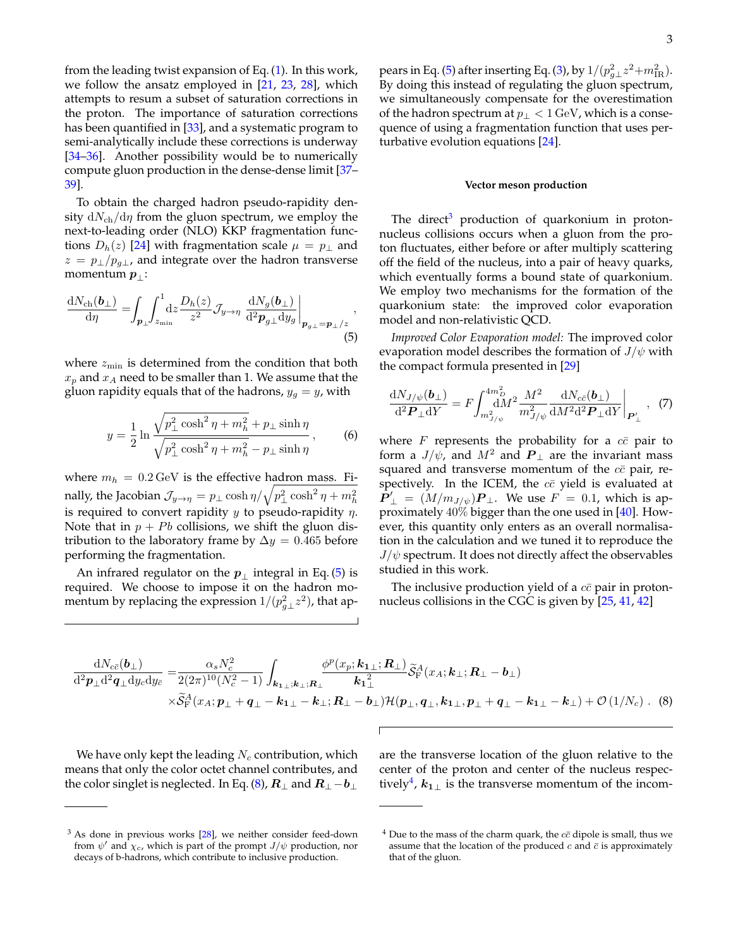from the leading twist expansion of Eq. [\(1\)](#page-1-4). In this work, we follow the ansatz employed in [\[21,](#page-9-16) [23,](#page-9-18) [28\]](#page-10-1), which attempts to resum a subset of saturation corrections in the proton. The importance of saturation corrections has been quantified in [\[33\]](#page-10-6), and a systematic program to semi-analytically include these corrections is underway [\[34](#page-10-7)[–36\]](#page-10-8). Another possibility would be to numerically compute gluon production in the dense-dense limit [\[37–](#page-10-9) [39\]](#page-10-10).

To obtain the charged hadron pseudo-rapidity density  $dN_{ch}/d\eta$  from the gluon spectrum, we employ the next-to-leading order (NLO) KKP fragmentation functions  $D_h(z)$  [\[24\]](#page-9-19) with fragmentation scale  $\mu = p_{\perp}$  and  $z = p_{\perp}/p_{g\perp}$ , and integrate over the hadron transverse momentum  $p_{\perp}$ :

$$
\frac{\mathrm{d}N_{\mathrm{ch}}(\boldsymbol{b}_{\perp})}{\mathrm{d}\eta} = \int_{\boldsymbol{p}_{\perp}} \int_{z_{\min}}^{1} \mathrm{d}z \frac{D_h(z)}{z^2} \mathcal{J}_{y \to \eta} \left. \frac{\mathrm{d}N_g(\boldsymbol{b}_{\perp})}{\mathrm{d}^2 \boldsymbol{p}_{g\perp} \mathrm{d}y_g} \right|_{\boldsymbol{p}_{g\perp} = \boldsymbol{p}_{\perp}/z},\tag{5}
$$

where  $z_{\text{min}}$  is determined from the condition that both  $x_p$  and  $x_A$  need to be smaller than 1. We assume that the gluon rapidity equals that of the hadrons,  $y_g = y$ , with

$$
y = \frac{1}{2} \ln \frac{\sqrt{p_{\perp}^2 \cosh^2 \eta + m_h^2} + p_{\perp} \sinh \eta}{\sqrt{p_{\perp}^2 \cosh^2 \eta + m_h^2} - p_{\perp} \sinh \eta},
$$
 (6)

where  $m_h = 0.2 \,\text{GeV}$  is the effective hadron mass. Finally, the Jacobian  $\mathcal{J}_{y\to \eta} = p_\perp \cosh \eta / \sqrt{p_\perp^2 \cosh^2 \eta + m_h^2}$ is required to convert rapidity  $y$  to pseudo-rapidity  $\eta$ . Note that in  $p + Pb$  collisions, we shift the gluon distribution to the laboratory frame by  $\Delta y = 0.465$  before performing the fragmentation.

An infrared regulator on the  $p_{\perp}$  integral in Eq. [\(5\)](#page-2-0) is required. We choose to impose it on the hadron momentum by replacing the expression  $1/(p_{g\perp}^2 z^2)$ , that ap-

pears in Eq. [\(5\)](#page-2-0) after inserting Eq. [\(3\)](#page-1-2), by  $1/(p_{g\perp}^2 z^2 + m_{\rm IR}^2)$ . By doing this instead of regulating the gluon spectrum, we simultaneously compensate for the overestimation of the hadron spectrum at  $p_{\perp} < 1 \,\text{GeV}$ , which is a consequence of using a fragmentation function that uses perturbative evolution equations [\[24\]](#page-9-19).

#### **Vector meson production**

The direct<sup>[3](#page-2-1)</sup> production of quarkonium in protonnucleus collisions occurs when a gluon from the proton fluctuates, either before or after multiply scattering off the field of the nucleus, into a pair of heavy quarks, which eventually forms a bound state of quarkonium. We employ two mechanisms for the formation of the quarkonium state: the improved color evaporation model and non-relativistic QCD.

<span id="page-2-0"></span>*Improved Color Evaporation model:* The improved color evaporation model describes the formation of  $J/\psi$  with the compact formula presented in [\[29\]](#page-10-2)

<span id="page-2-4"></span>
$$
\frac{dN_{J/\psi}(\mathbf{b}_{\perp})}{d^2 \mathbf{P}_{\perp} dY} = F \int_{m_{J/\psi}^2}^{4m_D^2} \frac{M^2}{m_{J/\psi}^2} \frac{dN_{c\bar{c}}(\mathbf{b}_{\perp})}{dM^2 d^2 \mathbf{P}_{\perp} dY} \Big|_{\mathbf{P}'_{\perp}} , \tag{7}
$$

where  $F$  represents the probability for a  $c\bar{c}$  pair to form a  $J/\psi$ , and  $M^2$  and  $P_{\perp}$  are the invariant mass squared and transverse momentum of the  $c\bar{c}$  pair, respectively. In the ICEM, the  $c\bar{c}$  yield is evaluated at  $\mathbf{P}'_{\perp} = (M/m_{J/\psi})\mathbf{P}_{\perp}$ . We use  $F = 0.1$ , which is approximately  $40\%$  bigger than the one used in [\[40\]](#page-10-11). However, this quantity only enters as an overall normalisation in the calculation and we tuned it to reproduce the  $J/\psi$  spectrum. It does not directly affect the observables studied in this work.

The inclusive production yield of a  $c\bar{c}$  pair in protonnucleus collisions in the CGC is given by [\[25,](#page-9-20) [41,](#page-10-12) [42\]](#page-10-13)

$$
\frac{dN_{c\bar{c}}(\boldsymbol{b}_{\perp})}{d^{2}\boldsymbol{p}_{\perp}d^{2}\boldsymbol{q}_{\perp}d\boldsymbol{y}_{c}d\boldsymbol{y}_{\bar{c}}} = \frac{\alpha_{s}N_{c}^{2}}{2(2\pi)^{10}(N_{c}^{2}-1)}\int_{\boldsymbol{k}_{1\perp};\boldsymbol{k}_{\perp};\boldsymbol{R}_{\perp}}\frac{\phi^{p}(x_{p};\boldsymbol{k}_{1\perp};\boldsymbol{R}_{\perp})}{\boldsymbol{k}_{1\perp}^{2}}\widetilde{\mathcal{S}}_{F}^{A}(x_{A};\boldsymbol{k}_{\perp};\boldsymbol{R}_{\perp}-\boldsymbol{b}_{\perp})\times\widetilde{\mathcal{S}}_{F}^{A}(x_{A};\boldsymbol{p}_{\perp}+\boldsymbol{q}_{\perp}-\boldsymbol{k}_{1\perp}-\boldsymbol{k}_{\perp};\boldsymbol{R}_{\perp}-\boldsymbol{b}_{\perp})\mathcal{H}(\boldsymbol{p}_{\perp},\boldsymbol{q}_{\perp},\boldsymbol{k}_{1\perp},\boldsymbol{p}_{\perp}+\boldsymbol{q}_{\perp}-\boldsymbol{k}_{1\perp}-\boldsymbol{k}_{\perp})+\mathcal{O}(1/N_{c})
$$
 (8)

We have only kept the leading  $N_c$  contribution, which means that only the color octet channel contributes, and the color singlet is neglected. In Eq. [\(8\)](#page-2-2),  $\bm{R}_\perp$  and  $\bm{R}_\perp\!-\!\bm{b}_\perp$ 

<span id="page-2-2"></span>are the transverse location of the gluon relative to the center of the proton and center of the nucleus respec-tively<sup>[4](#page-2-3)</sup>,  $k_{1\perp}$  is the transverse momentum of the incom-

<span id="page-2-1"></span> $3$  As done in previous works  $[28]$ , we neither consider feed-down from  $\psi'$  and  $\chi_c$ , which is part of the prompt  $J/\psi$  production, nor decays of b-hadrons, which contribute to inclusive production.

<span id="page-2-3"></span> $4$  Due to the mass of the charm quark, the  $c\bar{c}$  dipole is small, thus we assume that the location of the produced  $c$  and  $\bar{c}$  is approximately that of the gluon.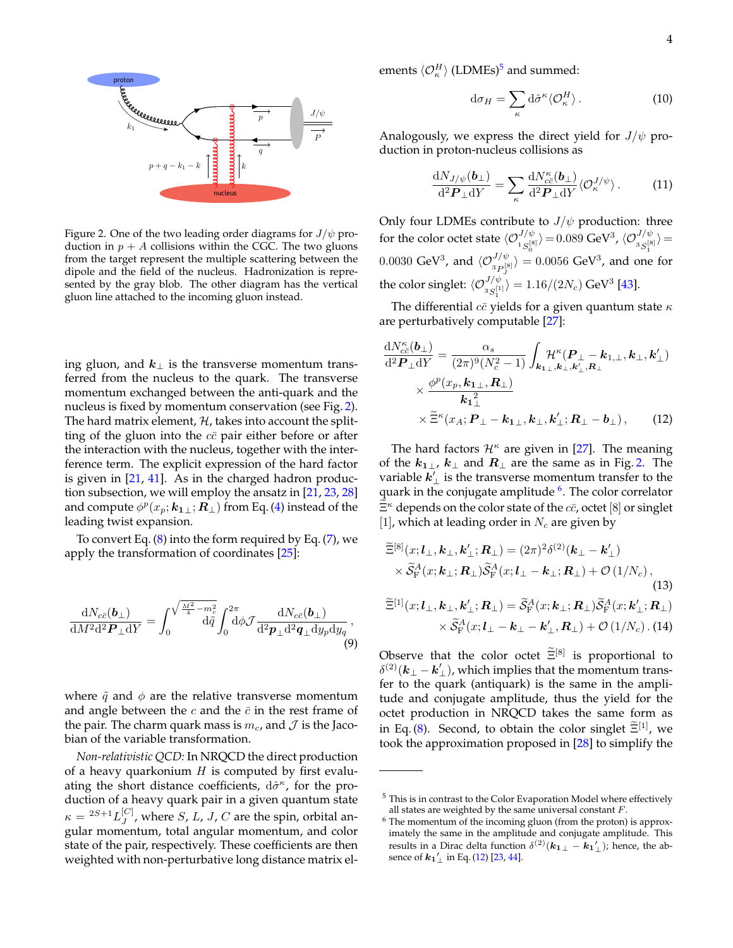

<span id="page-3-0"></span>Figure 2. One of the two leading order diagrams for  $J/\psi$  production in  $p + A$  collisions within the CGC. The two gluons from the target represent the multiple scattering between the dipole and the field of the nucleus. Hadronization is represented by the gray blob. The other diagram has the vertical gluon line attached to the incoming gluon instead.

ing gluon, and  $k_{\perp}$  is the transverse momentum transferred from the nucleus to the quark. The transverse momentum exchanged between the anti-quark and the nucleus is fixed by momentum conservation (see Fig. [2\)](#page-3-0). The hard matrix element,  $H$ , takes into account the splitting of the gluon into the  $c\bar{c}$  pair either before or after the interaction with the nucleus, together with the interference term. The explicit expression of the hard factor is given in  $[21, 41]$  $[21, 41]$  $[21, 41]$ . As in the charged hadron production subsection, we will employ the ansatz in [\[21,](#page-9-16) [23,](#page-9-18) [28\]](#page-10-1) and compute  $\phi^p(x_p;{\bm k_{1}}_{\perp}; {\bm R}_{\perp})$  from Eq. [\(4\)](#page-1-5) instead of the leading twist expansion.

To convert Eq.  $(8)$  into the form required by Eq.  $(7)$ , we apply the transformation of coordinates [\[25\]](#page-9-20):

$$
\frac{\mathrm{d}N_{c\bar{c}}(\boldsymbol{b}_{\perp})}{\mathrm{d}M^2\mathrm{d}^2\boldsymbol{P}_{\perp}\mathrm{d}Y} = \int_0^{\sqrt{\frac{M^2 - m_c^2}{4}}}\mathrm{d}\tilde{q}\int_0^{2\pi}\mathrm{d}\phi \mathcal{J}\frac{\mathrm{d}N_{c\bar{c}}(\boldsymbol{b}_{\perp})}{\mathrm{d}^2\boldsymbol{p}_{\perp}\mathrm{d}^2\boldsymbol{q}_{\perp}\mathrm{d}y_p\mathrm{d}y_q},\tag{9}
$$

where  $\tilde{q}$  and  $\phi$  are the relative transverse momentum and angle between the  $c$  and the  $\bar{c}$  in the rest frame of the pair. The charm quark mass is  $m_c$ , and  $\cal J$  is the Jacobian of the variable transformation.

*Non-relativistic QCD:* In NRQCD the direct production of a heavy quarkonium  $H$  is computed by first evaluating the short distance coefficients,  $d\hat{\sigma}^{\kappa}$ , for the production of a heavy quark pair in a given quantum state  $\kappa = {}^{2S+1}L^{[C]}_J$  $J_J^{[C]}$ , where S, L, J, C are the spin, orbital angular momentum, total angular momentum, and color state of the pair, respectively. These coefficients are then weighted with non-perturbative long distance matrix elements  $\langle \mathcal{O}_{\kappa}^{H} \rangle$  (LDMEs)<sup>[5](#page-3-1)</sup> and summed:

$$
d\sigma_H = \sum_{\kappa} d\hat{\sigma}^{\kappa} \langle \mathcal{O}_{\kappa}^H \rangle. \tag{10}
$$

Analogously, we express the direct yield for  $J/\psi$  production in proton-nucleus collisions as

$$
\frac{\mathrm{d}N_{J/\psi}(\boldsymbol{b}_{\perp})}{\mathrm{d}^2\boldsymbol{P}_{\perp}\mathrm{d}Y} = \sum_{\kappa} \frac{\mathrm{d}N_{c\bar{c}}^{\kappa}(\boldsymbol{b}_{\perp})}{\mathrm{d}^2\boldsymbol{P}_{\perp}\mathrm{d}Y} \langle \mathcal{O}_{\kappa}^{J/\psi} \rangle. \tag{11}
$$

Only four LDMEs contribute to  $J/\psi$  production: three for the color octet state  $\langle \mathcal{O}_{1S_6^{[8]}}^{J/\psi} \rangle = 0.089 \text{ GeV}^3$ ,  $\langle \mathcal{O}_{3S_1^{[8]}}^{J/\psi} \rangle =$ 0.0030 GeV<sup>3</sup>, and  $\langle \mathcal{O}_{3P_{J}}^{J/\psi} \rangle = 0.0056$  GeV<sup>3</sup>, and one for the color singlet:  $\langle \mathcal{O}_{^3S_1^{[1]}}^{J/\psi}\rangle = 1.16/(2N_c)$  GeV<sup>3</sup> [\[43\]](#page-10-14).

The differential  $c\bar{c}$  yields for a given quantum state  $\kappa$ are perturbatively computable [\[27\]](#page-10-15):

<span id="page-3-3"></span>
$$
\frac{dN_{c\bar{c}}^{\kappa}(\boldsymbol{b}_{\perp})}{d^{2}\boldsymbol{P}_{\perp}dY} = \frac{\alpha_{s}}{(2\pi)^{9}(N_{c}^{2}-1)} \int_{\boldsymbol{k}_{1\perp},\boldsymbol{k}_{\perp},\boldsymbol{k}_{\perp}^{\prime}} \mathcal{H}^{\kappa}(\boldsymbol{P}_{\perp}-\boldsymbol{k}_{1,\perp},\boldsymbol{k}_{\perp},\boldsymbol{k}_{\perp}^{\prime})
$$

$$
\times \frac{\phi^{p}(x_{p},\boldsymbol{k}_{1\perp},\boldsymbol{R}_{\perp})}{\boldsymbol{k}_{1\perp}^{2}}
$$

$$
\times \widetilde{\Xi}^{\kappa}(x_{A};\boldsymbol{P}_{\perp}-\boldsymbol{k}_{1\perp},\boldsymbol{k}_{\perp},\boldsymbol{k}_{\perp}^{\prime};\boldsymbol{R}_{\perp}-\boldsymbol{b}_{\perp}), \qquad (12)
$$

The hard factors  $\mathcal{H}^{\kappa}$  are given in [\[27\]](#page-10-15). The meaning of the  $k_{1\perp}$ ,  $k_{\perp}$  and  $R_{\perp}$  are the same as in Fig. [2.](#page-3-0) The variable  $k'_\perp$  is the transverse momentum transfer to the quark in the conjugate amplitude <sup>[6](#page-3-2)</sup>. The color correlator  $\Xi^{\kappa}$  depends on the color state of the  $c\bar{c}$ , octet [8] or singlet [1], which at leading order in  $N_c$  are given by

$$
\widetilde{\Xi}^{[8]}(x; \mathbf{l}_{\perp}, \mathbf{k}_{\perp}, \mathbf{k}'_{\perp}; \mathbf{R}_{\perp}) = (2\pi)^2 \delta^{(2)}(\mathbf{k}_{\perp} - \mathbf{k}'_{\perp}) \times \widetilde{\mathcal{S}}_{\mathrm{F}}^A(x; \mathbf{k}_{\perp}; \mathbf{R}_{\perp}) \widetilde{\mathcal{S}}_{\mathrm{F}}^A(x; \mathbf{l}_{\perp} - \mathbf{k}_{\perp}; \mathbf{R}_{\perp}) + \mathcal{O}(1/N_c),
$$
\n(13)\n
$$
\widetilde{\Xi}^{[1]}(x; \mathbf{l}_{\perp}, \mathbf{k}_{\perp}, \mathbf{k}'_{\perp}; \mathbf{R}_{\perp}) = \widetilde{\mathcal{S}}_{\mathrm{F}}^A(x; \mathbf{k}_{\perp}; \mathbf{R}_{\perp}) \widetilde{\mathcal{S}}_{\mathrm{F}}^A(x; \mathbf{k}'_{\perp}; \mathbf{R}_{\perp})
$$

<span id="page-3-4"></span>
$$
\times \widetilde{\mathcal{S}}_{\mathrm{F}}^{A}(x; \mathbf{l}_{\perp} - \mathbf{k}_{\perp} - \mathbf{k}'_{\perp}, \mathbf{R}_{\perp}) + \mathcal{O}(1/N_c) \tag{14}
$$

Observe that the color octet  $\widetilde{\Xi}^{[8]}$  is proportional to  $\delta^{(2)}(\mathbf{k}_{\perp} - \mathbf{k}'_{\perp})$ , which implies that the momentum transfer to the quark (antiquark) is the same in the amplitude and conjugate amplitude, thus the yield for the octet production in NRQCD takes the same form as in Eq. [\(8\)](#page-2-2). Second, to obtain the color singlet  $\Xi^{[1]}$ , we took the approximation proposed in [\[28\]](#page-10-1) to simplify the

<span id="page-3-1"></span><sup>&</sup>lt;sup>5</sup> This is in contrast to the Color Evaporation Model where effectively all states are weighted by the same universal constant  $F$ .

<span id="page-3-2"></span><sup>6</sup> The momentum of the incoming gluon (from the proton) is approximately the same in the amplitude and conjugate amplitude. This results in a Dirac delta function  $\delta^{(2)}(\boldsymbol{k_{1\perp}} - \boldsymbol{k_1}'_{\perp})$ ; hence, the absence of  $k_1{}'_{\perp}$  in Eq. [\(12\)](#page-3-3) [\[23,](#page-9-18) [44\]](#page-10-16).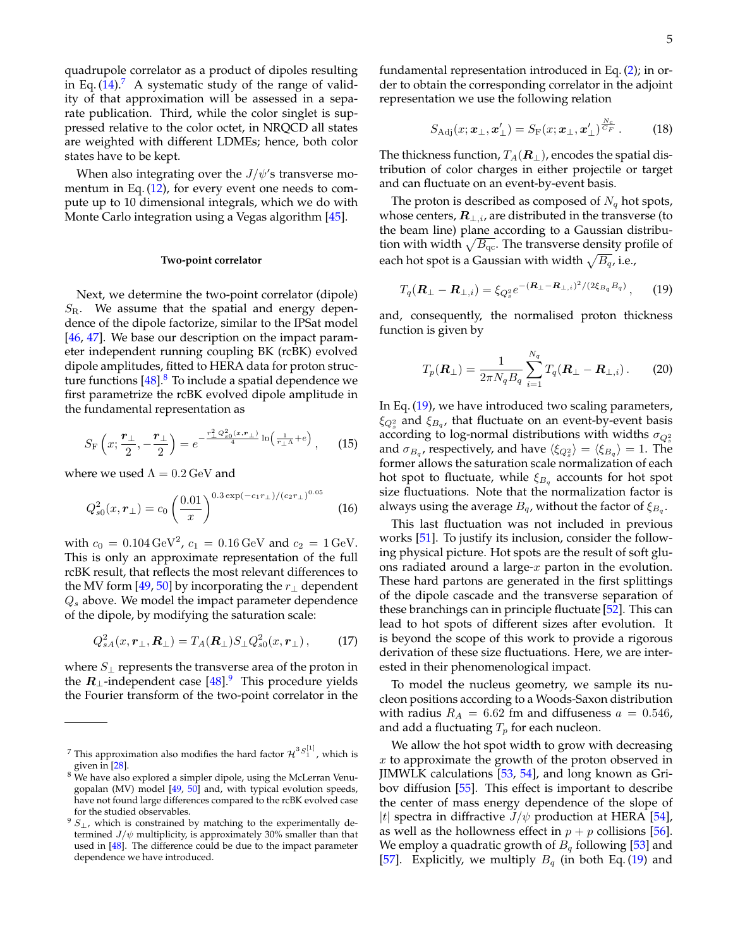quadrupole correlator as a product of dipoles resulting in Eq.  $(14)$ .<sup>[7](#page-4-0)</sup> A systematic study of the range of validity of that approximation will be assessed in a separate publication. Third, while the color singlet is suppressed relative to the color octet, in NRQCD all states are weighted with different LDMEs; hence, both color states have to be kept.

When also integrating over the  $J/\psi$ 's transverse momentum in Eq. [\(12\)](#page-3-3), for every event one needs to compute up to 10 dimensional integrals, which we do with Monte Carlo integration using a Vegas algorithm [\[45\]](#page-10-17).

### **Two-point correlator**

Next, we determine the two-point correlator (dipole)  $S_{\rm R}$ . We assume that the spatial and energy dependence of the dipole factorize, similar to the IPSat model [\[46,](#page-10-18) [47\]](#page-10-19). We base our description on the impact parameter independent running coupling BK (rcBK) evolved dipole amplitudes, fitted to HERA data for proton structure functions  $[48]$ .<sup>[8](#page-4-1)</sup> To include a spatial dependence we first parametrize the rcBK evolved dipole amplitude in the fundamental representation as

$$
S_{\rm F}\left(x; \frac{r_{\perp}}{2}, -\frac{r_{\perp}}{2}\right) = e^{-\frac{r_{\perp}^2 Q_{\rm s0}^2(x, r_{\perp})}{4} \ln\left(\frac{1}{r_{\perp}\Lambda} + e\right)}, \quad (15)
$$

where we used  $\Lambda = 0.2 \,\text{GeV}$  and

$$
Q_{s0}^2(x, \boldsymbol{r}_\perp) = c_0 \left(\frac{0.01}{x}\right)^{0.3 \exp(-c_1 r_\perp)/(c_2 r_\perp)^{0.05}} \tag{16}
$$

with  $c_0 = 0.104 \,\text{GeV}^2$ ,  $c_1 = 0.16 \,\text{GeV}$  and  $c_2 = 1 \,\text{GeV}$ . This is only an approximate representation of the full rcBK result, that reflects the most relevant differences to the MV form [\[49,](#page-10-21) [50\]](#page-10-22) by incorporating the  $r_{\perp}$  dependent  $Q_s$  above. We model the impact parameter dependence of the dipole, by modifying the saturation scale:

$$
Q_{sA}^2(x,\boldsymbol{r}_\perp,\boldsymbol{R}_\perp)=T_A(\boldsymbol{R}_\perp)S_\perp Q_{s0}^2(x,\boldsymbol{r}_\perp),\qquad(17)
$$

where  $S_{\perp}$  represents the transverse area of the proton in the  $R_{\perp}$ -independent case  $[48]$ .<sup>[9](#page-4-2)</sup> This procedure yields the Fourier transform of the two-point correlator in the fundamental representation introduced in Eq. [\(2\)](#page-1-6); in order to obtain the corresponding correlator in the adjoint representation we use the following relation

$$
S_{\text{Adj}}(x; \boldsymbol{x}_{\perp}, \boldsymbol{x}'_{\perp}) = S_{\text{F}}(x; \boldsymbol{x}_{\perp}, \boldsymbol{x}'_{\perp})^{\frac{N_c}{C_F}}.
$$
 (18)

The thickness function,  $T_A(\mathbf{R}_{\perp})$ , encodes the spatial distribution of color charges in either projectile or target and can fluctuate on an event-by-event basis.

The proton is described as composed of  $N_q$  hot spots, whose centers,  $\mathbf{R}_{\perp,i}$ , are distributed in the transverse (to the beam line) plane according to a Gaussian distribution with width  $\sqrt{B_{\rm qc}}.$  The transverse density profile of each hot spot is a Gaussian with width  $\sqrt{B_q}$ , i.e.,

<span id="page-4-3"></span>
$$
T_q(\mathbf{R}_{\perp}-\mathbf{R}_{\perp,i})=\xi_{Q_s^2}e^{-(\mathbf{R}_{\perp}-\mathbf{R}_{\perp,i})^2/(2\xi_{B_q}B_q)},\qquad(19)
$$

and, consequently, the normalised proton thickness function is given by

<span id="page-4-4"></span>
$$
T_p(\mathbf{R}_{\perp}) = \frac{1}{2\pi N_q B_q} \sum_{i=1}^{N_q} T_q(\mathbf{R}_{\perp} - \mathbf{R}_{\perp,i}).
$$
 (20)

In Eq. [\(19\)](#page-4-3), we have introduced two scaling parameters,  $\xi_{Q_s^2}$  and  $\xi_{B_q}$ , that fluctuate on an event-by-event basis according to log-normal distributions with widths  $\sigma_{Q_s^2}$ and  $\sigma_{B_q}$ , respectively, and have  $\langle \xi_{Q_s^2} \rangle = \langle \xi_{B_q} \rangle = 1$ . The former allows the saturation scale normalization of each hot spot to fluctuate, while  $\xi_{B_q}$  accounts for hot spot size fluctuations. Note that the normalization factor is always using the average  $B_q$ , without the factor of  $\xi_{B_q}.$ 

This last fluctuation was not included in previous works [\[51\]](#page-10-23). To justify its inclusion, consider the following physical picture. Hot spots are the result of soft gluons radiated around a large- $x$  parton in the evolution. These hard partons are generated in the first splittings of the dipole cascade and the transverse separation of these branchings can in principle fluctuate [\[52\]](#page-10-24). This can lead to hot spots of different sizes after evolution. It is beyond the scope of this work to provide a rigorous derivation of these size fluctuations. Here, we are interested in their phenomenological impact.

<span id="page-4-5"></span>To model the nucleus geometry, we sample its nucleon positions according to a Woods-Saxon distribution with radius  $R_A = 6.62$  fm and diffuseness  $a = 0.546$ , and add a fluctuating  $T_p$  for each nucleon.

We allow the hot spot width to grow with decreasing x to approximate the growth of the proton observed in JIMWLK calculations [\[53,](#page-10-25) [54\]](#page-10-26), and long known as Gribov diffusion [\[55\]](#page-10-27). This effect is important to describe the center of mass energy dependence of the slope of |t| spectra in diffractive  $J/\psi$  production at HERA [\[54\]](#page-10-26), as well as the hollowness effect in  $p + p$  collisions [\[56\]](#page-10-28). We employ a quadratic growth of  $B_q$  following [\[53\]](#page-10-25) and [\[57\]](#page-10-29). Explicitly, we multiply  $B_q$  (in both Eq. [\(19\)](#page-4-3) and

<span id="page-4-0"></span><sup>&</sup>lt;sup>7</sup> This approximation also modifies the hard factor  $\mathcal{H}^{3S^{[1]}_{1}}$  , which is given in [\[28\]](#page-10-1).

<span id="page-4-1"></span><sup>&</sup>lt;sup>8</sup> We have also explored a simpler dipole, using the McLerran Venugopalan (MV) model [\[49,](#page-10-21) [50\]](#page-10-22) and, with typical evolution speeds, have not found large differences compared to the rcBK evolved case for the studied observables.

<span id="page-4-2"></span> $9 S_{\perp}$ , which is constrained by matching to the experimentally determined  $J/\psi$  multiplicity, is approximately 30% smaller than that used in [\[48\]](#page-10-20). The difference could be due to the impact parameter dependence we have introduced.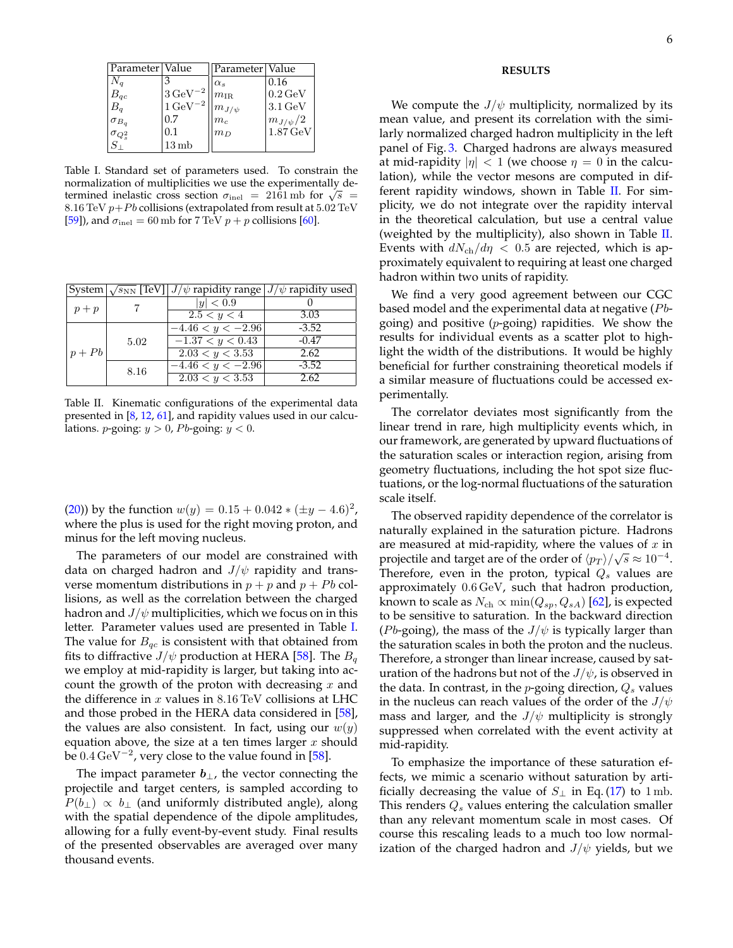| Parameter Value       |                         | Parameter Value    |                       |
|-----------------------|-------------------------|--------------------|-----------------------|
| $N_q$                 |                         | $\alpha_s$         | 0.16                  |
| $B_{qc}$              | $3\,{\rm GeV}^{-2}$     | $m_{\rm IR}$       | $0.2 \,\mathrm{GeV}$  |
| $B_q$                 | $1 \,\mathrm{GeV}^{-2}$ | $\cdot m_{J/\psi}$ | $3.1 \,\mathrm{GeV}$  |
| $\sigma_{B_q}$        | 0.7                     | $m_c$              | $m_{J/\psi}/2$        |
| $\sigma_{Q_s^2}^{-q}$ | $0.1\,$                 | $m_D$              | $1.87 \,\mathrm{GeV}$ |
|                       | 13mb                    |                    |                       |

<span id="page-5-0"></span>Table I. Standard set of parameters used. To constrain the normalization of multiplicities we use the experimentally dethermined inelastic cross section  $\sigma_{\text{inel}} = 2161 \text{ mb}$  for  $\sqrt{s} =$ 8.16 TeV  $p+Pb$  collisions (extrapolated from result at  $5.02$  TeV [\[59\]](#page-10-30)), and  $\sigma_{\text{inel}} = 60 \,\text{mb}$  for 7 TeV  $p + p$  collisions [\[60\]](#page-10-31).

|          |      | System $\sqrt{s_{NN}}$ [TeV] $J/\psi$ rapidity range $J/\psi$ rapidity used |         |
|----------|------|-----------------------------------------------------------------------------|---------|
| $p+p$    |      | y  < 0.9                                                                    |         |
|          |      | 2.5 < y < 4                                                                 | 3.03    |
| $p + Pb$ | 5.02 | $-4.46 < y < -2.96$                                                         | $-3.52$ |
|          |      | $-1.37 < y < 0.43$                                                          | $-0.47$ |
|          |      | 2.03 < y < 3.53                                                             | 2.62    |
|          | 8.16 | $-4.46 < y < -2.96$                                                         | $-3.52$ |
|          |      | 2.03 < y < 3.53                                                             | 2.62    |

<span id="page-5-1"></span>Table II. Kinematic configurations of the experimental data presented in [\[8,](#page-9-8) [12,](#page-9-11) [61\]](#page-10-32), and rapidity values used in our calculations. *p*-going:  $y > 0$ , *Pb*-going:  $y < 0$ .

[\(20\)](#page-4-4)) by the function  $w(y) = 0.15 + 0.042 * (\pm y - 4.6)^2$ , where the plus is used for the right moving proton, and minus for the left moving nucleus.

The parameters of our model are constrained with data on charged hadron and  $J/\psi$  rapidity and transverse momentum distributions in  $p + p$  and  $p + Pb$  collisions, as well as the correlation between the charged hadron and  $J/\psi$  multiplicities, which we focus on in this letter. Parameter values used are presented in Table [I.](#page-5-0) The value for  $B_{qc}$  is consistent with that obtained from fits to diffractive  $J/\psi$  production at HERA [\[58\]](#page-10-33). The  $B_q$ we employ at mid-rapidity is larger, but taking into account the growth of the proton with decreasing  $x$  and the difference in  $x$  values in  $8.16$  TeV collisions at LHC and those probed in the HERA data considered in [\[58\]](#page-10-33), the values are also consistent. In fact, using our  $w(y)$ equation above, the size at a ten times larger  $x$  should be  $0.4 \,\mathrm{GeV^{-2}}$ , very close to the value found in [\[58\]](#page-10-33).

The impact parameter  $b_{\perp}$ , the vector connecting the projectile and target centers, is sampled according to  $P(b_{\perp}) \propto b_{\perp}$  (and uniformly distributed angle), along with the spatial dependence of the dipole amplitudes, allowing for a fully event-by-event study. Final results of the presented observables are averaged over many thousand events.

# **RESULTS**

We compute the  $J/\psi$  multiplicity, normalized by its mean value, and present its correlation with the similarly normalized charged hadron multiplicity in the left panel of Fig. [3.](#page-6-0) Charged hadrons are always measured at mid-rapidity  $|\eta| < 1$  (we choose  $\eta = 0$  in the calculation), while the vector mesons are computed in different rapidity windows, shown in Table  $II$ . For simplicity, we do not integrate over the rapidity interval in the theoretical calculation, but use a central value (weighted by the multiplicity), also shown in Table  $II$ . Events with  $dN_{\rm ch}/d\eta < 0.5$  are rejected, which is approximately equivalent to requiring at least one charged hadron within two units of rapidity.

We find a very good agreement between our CGC based model and the experimental data at negative  $(Pb$ going) and positive  $(p$ -going) rapidities. We show the results for individual events as a scatter plot to highlight the width of the distributions. It would be highly beneficial for further constraining theoretical models if a similar measure of fluctuations could be accessed experimentally.

The correlator deviates most significantly from the linear trend in rare, high multiplicity events which, in our framework, are generated by upward fluctuations of the saturation scales or interaction region, arising from geometry fluctuations, including the hot spot size fluctuations, or the log-normal fluctuations of the saturation scale itself.

The observed rapidity dependence of the correlator is naturally explained in the saturation picture. Hadrons are measured at mid-rapidity, where the values of  $x$  in projectile and target are of the order of  $\langle p_T \rangle / \sqrt{s} \approx 10^{-4}$ . Therefore, even in the proton, typical  $Q_s$  values are approximately 0.6 GeV, such that hadron production, known to scale as  $N_{ch} \propto \min(Q_{sp}, Q_{sA})$  [\[62\]](#page-10-34), is expected to be sensitive to saturation. In the backward direction (*Pb*-going), the mass of the  $J/\psi$  is typically larger than the saturation scales in both the proton and the nucleus. Therefore, a stronger than linear increase, caused by saturation of the hadrons but not of the  $J/\psi$ , is observed in the data. In contrast, in the *p*-going direction,  $Q_s$  values in the nucleus can reach values of the order of the  $J/\psi$ mass and larger, and the  $J/\psi$  multiplicity is strongly suppressed when correlated with the event activity at mid-rapidity.

To emphasize the importance of these saturation effects, we mimic a scenario without saturation by artificially decreasing the value of  $S_{\perp}$  in Eq. [\(17\)](#page-4-5) to 1 mb. This renders  $Q_s$  values entering the calculation smaller than any relevant momentum scale in most cases. Of course this rescaling leads to a much too low normalization of the charged hadron and  $J/\psi$  yields, but we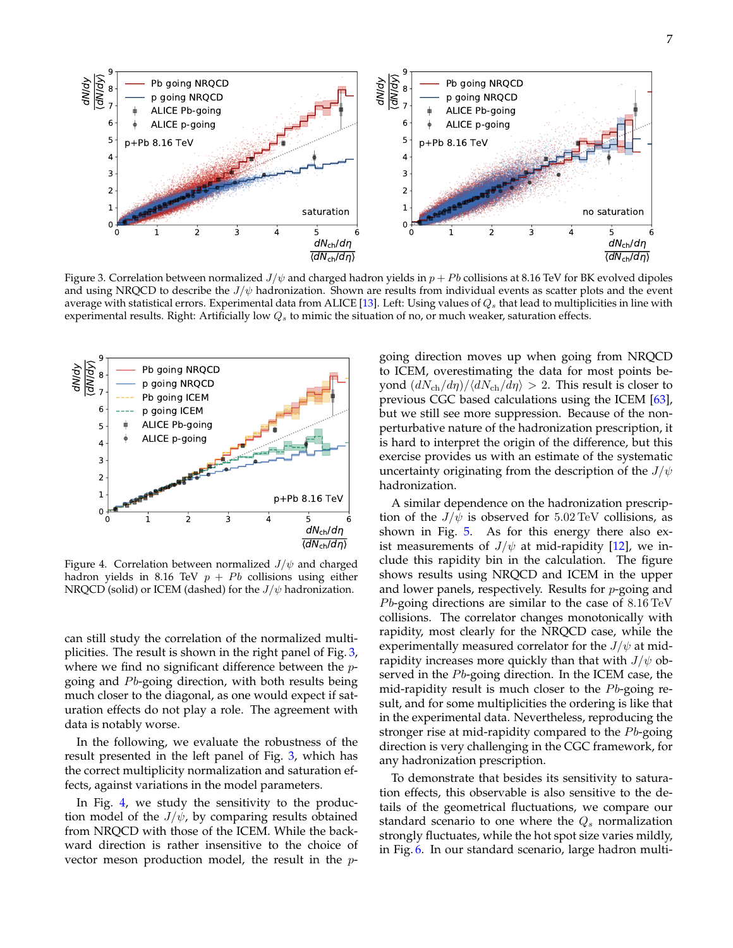

<span id="page-6-0"></span>Figure 3. Correlation between normalized  $J/\psi$  and charged hadron yields in  $p + Pb$  collisions at 8.16 TeV for BK evolved dipoles and using NRQCD to describe the  $J/\psi$  hadronization. Shown are results from individual events as scatter plots and the event average with statistical errors. Experimental data from ALICE [\[13\]](#page-9-12). Left: Using values of  $Q_s$  that lead to multiplicities in line with experimental results. Right: Artificially low  $Q_s$  to mimic the situation of no, or much weaker, saturation effects.



<span id="page-6-1"></span>Figure 4. Correlation between normalized  $J/\psi$  and charged hadron yields in 8.16 TeV  $p + Pb$  collisions using either NRQCD (solid) or ICEM (dashed) for the  $J/\psi$  hadronization.

can still study the correlation of the normalized multiplicities. The result is shown in the right panel of Fig. [3,](#page-6-0) where we find no significant difference between the  $p$ going and  $Pb$ -going direction, with both results being much closer to the diagonal, as one would expect if saturation effects do not play a role. The agreement with data is notably worse.

In the following, we evaluate the robustness of the result presented in the left panel of Fig. [3,](#page-6-0) which has the correct multiplicity normalization and saturation effects, against variations in the model parameters.

In Fig. [4,](#page-6-1) we study the sensitivity to the production model of the  $J/\psi$ , by comparing results obtained from NRQCD with those of the ICEM. While the backward direction is rather insensitive to the choice of vector meson production model, the result in the p-

going direction moves up when going from NRQCD to ICEM, overestimating the data for most points beyond  $\left(\frac{dN_{\text{ch}}}{d\eta}\right)/\left\langle \frac{dN_{\text{ch}}}{d\eta} \right\rangle > 2$ . This result is closer to previous CGC based calculations using the ICEM [\[63\]](#page-10-35), but we still see more suppression. Because of the nonperturbative nature of the hadronization prescription, it is hard to interpret the origin of the difference, but this exercise provides us with an estimate of the systematic uncertainty originating from the description of the  $J/\psi$ hadronization.

A similar dependence on the hadronization prescription of the  $J/\psi$  is observed for 5.02 TeV collisions, as shown in Fig. [5.](#page-7-0) As for this energy there also exist measurements of  $J/\psi$  at mid-rapidity [\[12\]](#page-9-11), we include this rapidity bin in the calculation. The figure shows results using NRQCD and ICEM in the upper and lower panels, respectively. Results for p-going and *Pb*-going directions are similar to the case of  $8.16 \,\mathrm{TeV}$ collisions. The correlator changes monotonically with rapidity, most clearly for the NRQCD case, while the experimentally measured correlator for the  $J/\psi$  at midrapidity increases more quickly than that with  $J/\psi$  observed in the  $Pb$ -going direction. In the ICEM case, the mid-rapidity result is much closer to the  $Pb$ -going result, and for some multiplicities the ordering is like that in the experimental data. Nevertheless, reproducing the stronger rise at mid-rapidity compared to the  $P<sub>b</sub>$ -going direction is very challenging in the CGC framework, for any hadronization prescription.

To demonstrate that besides its sensitivity to saturation effects, this observable is also sensitive to the details of the geometrical fluctuations, we compare our standard scenario to one where the  $Q_s$  normalization strongly fluctuates, while the hot spot size varies mildly, in Fig. [6.](#page-7-1) In our standard scenario, large hadron multi-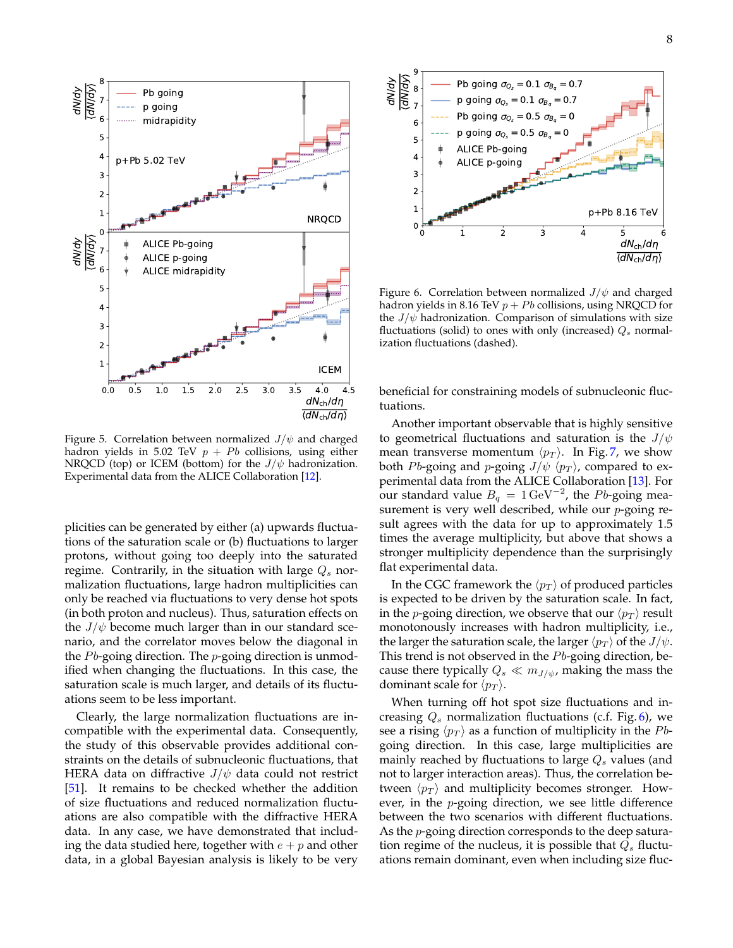

<span id="page-7-0"></span>Figure 5. Correlation between normalized  $J/\psi$  and charged hadron yields in 5.02 TeV  $p + Pb$  collisions, using either NRQCD (top) or ICEM (bottom) for the  $J/\psi$  hadronization. Experimental data from the ALICE Collaboration [\[12\]](#page-9-11).

plicities can be generated by either (a) upwards fluctuations of the saturation scale or (b) fluctuations to larger protons, without going too deeply into the saturated regime. Contrarily, in the situation with large  $Q_s$  normalization fluctuations, large hadron multiplicities can only be reached via fluctuations to very dense hot spots (in both proton and nucleus). Thus, saturation effects on the  $J/\psi$  become much larger than in our standard scenario, and the correlator moves below the diagonal in the  $Pb$ -going direction. The  $p$ -going direction is unmodified when changing the fluctuations. In this case, the saturation scale is much larger, and details of its fluctuations seem to be less important.

Clearly, the large normalization fluctuations are incompatible with the experimental data. Consequently, the study of this observable provides additional constraints on the details of subnucleonic fluctuations, that HERA data on diffractive  $J/\psi$  data could not restrict [\[51\]](#page-10-23). It remains to be checked whether the addition of size fluctuations and reduced normalization fluctuations are also compatible with the diffractive HERA data. In any case, we have demonstrated that including the data studied here, together with  $e + p$  and other



<span id="page-7-1"></span>Figure 6. Correlation between normalized  $J/\psi$  and charged hadron yields in 8.16 TeV  $p + Pb$  collisions, using NRQCD for the  $J/\psi$  hadronization. Comparison of simulations with size fluctuations (solid) to ones with only (increased)  $Q_s$  normalization fluctuations (dashed).

beneficial for constraining models of subnucleonic fluctuations.

Another important observable that is highly sensitive to geometrical fluctuations and saturation is the  $J/\psi$ mean transverse momentum  $\langle p_T \rangle$ . In Fig. [7,](#page-8-0) we show both Pb-going and p-going  $J/\psi \langle p_T \rangle$ , compared to experimental data from the ALICE Collaboration [\[13\]](#page-9-12). For our standard value  $B_q = 1 \,\text{GeV}^{-2}$ , the Pb-going measurement is very well described, while our *p*-going result agrees with the data for up to approximately 1.5 times the average multiplicity, but above that shows a stronger multiplicity dependence than the surprisingly flat experimental data.

In the CGC framework the  $\langle p_T \rangle$  of produced particles is expected to be driven by the saturation scale. In fact, in the *p*-going direction, we observe that our  $\langle p_T \rangle$  result monotonously increases with hadron multiplicity, i.e., the larger the saturation scale, the larger  $\langle p_T \rangle$  of the  $J/\psi$ . This trend is not observed in the  $Pb$ -going direction, because there typically  $Q_s \ll m_{J/\psi}$ , making the mass the dominant scale for  $\langle p_T \rangle$ .

When turning off hot spot size fluctuations and increasing  $Q_s$  normalization fluctuations (c.f. Fig. [6\)](#page-7-1), we see a rising  $\langle p_T \rangle$  as a function of multiplicity in the Pbgoing direction. In this case, large multiplicities are mainly reached by fluctuations to large  $Q_s$  values (and not to larger interaction areas). Thus, the correlation between  $\langle p_T \rangle$  and multiplicity becomes stronger. However, in the p-going direction, we see little difference between the two scenarios with different fluctuations. As the *p*-going direction corresponds to the deep saturation regime of the nucleus, it is possible that  $Q_s$  fluctuations remain dominant, even when including size fluc-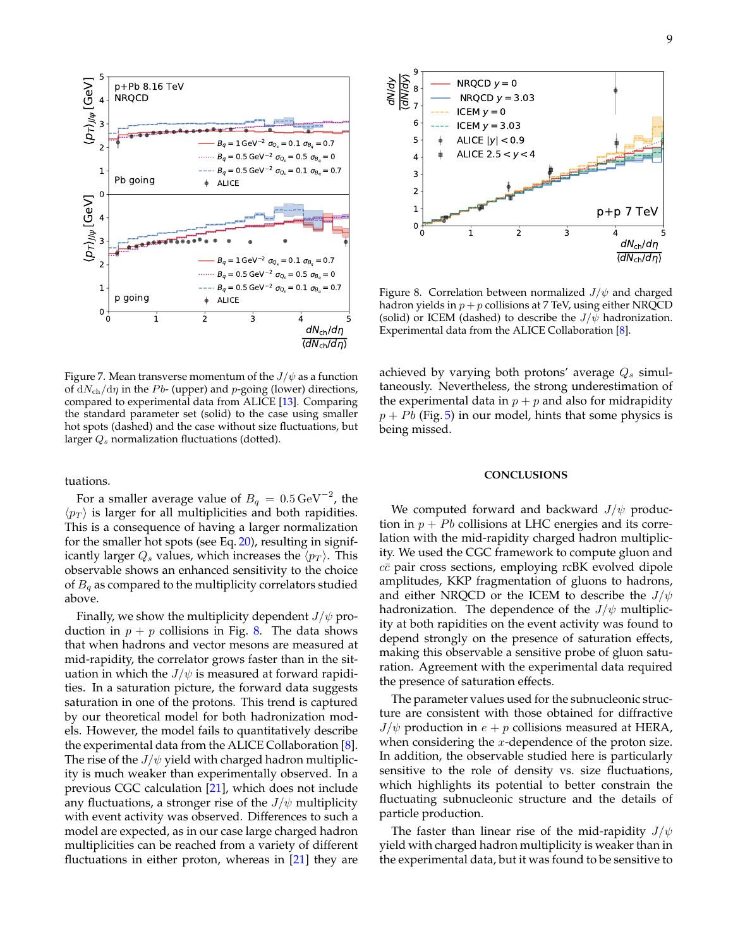



<span id="page-8-1"></span>Figure 8. Correlation between normalized  $J/\psi$  and charged hadron yields in  $p + p$  collisions at 7 TeV, using either NRQCD (solid) or ICEM (dashed) to describe the  $J/\psi$  hadronization. Experimental data from the ALICE Collaboration [\[8\]](#page-9-8).

<span id="page-8-0"></span>Figure 7. Mean transverse momentum of the  $J/\psi$  as a function of  $dN_{ch}/d\eta$  in the Pb- (upper) and p-going (lower) directions, compared to experimental data from ALICE [\[13\]](#page-9-12). Comparing the standard parameter set (solid) to the case using smaller hot spots (dashed) and the case without size fluctuations, but larger  $Q_s$  normalization fluctuations (dotted).

tuations.

For a smaller average value of  $B_q\,=\,0.5\,\mathrm{GeV}^{-2}$ , the  $\langle p_T \rangle$  is larger for all multiplicities and both rapidities. This is a consequence of having a larger normalization for the smaller hot spots (see Eq. [20\)](#page-4-4), resulting in significantly larger  $Q_s$  values, which increases the  $\langle p_T \rangle$ . This observable shows an enhanced sensitivity to the choice of  $B_q$  as compared to the multiplicity correlators studied above.

Finally, we show the multiplicity dependent  $J/\psi$  production in  $p + p$  collisions in Fig. [8.](#page-8-1) The data shows that when hadrons and vector mesons are measured at mid-rapidity, the correlator grows faster than in the situation in which the  $J/\psi$  is measured at forward rapidities. In a saturation picture, the forward data suggests saturation in one of the protons. This trend is captured by our theoretical model for both hadronization models. However, the model fails to quantitatively describe the experimental data from the ALICE Collaboration [\[8\]](#page-9-8). The rise of the  $J/\psi$  yield with charged hadron multiplicity is much weaker than experimentally observed. In a previous CGC calculation [\[21\]](#page-9-16), which does not include any fluctuations, a stronger rise of the  $J/\psi$  multiplicity with event activity was observed. Differences to such a model are expected, as in our case large charged hadron multiplicities can be reached from a variety of different Fig. 3 and  $\frac{dS_3}{dS_2}$ <br>  $\frac{dS_4}{dS_3}$  and  $\frac{dS_5}{dS_4}$  and  $\frac{dS_6}{dS_5}$  and  $\frac{dS_7}{dS_6}$  and  $\frac{dS_7}{dS_6}$  and  $\frac{dS_7}{dS_6}$  and  $\frac{dS_7}{dS_6}$  and  $\frac{dS_7}{dS_6}$  and  $\frac{dS_7}{dS_6}$  and  $\frac{dS_7}{dS_6$ 

achieved by varying both protons' average  $Q_s$  simultaneously. Nevertheless, the strong underestimation of the experimental data in  $p + p$  and also for midrapidity  $p + Pb$  (Fig. [5\)](#page-7-0) in our model, hints that some physics is being missed.

# **CONCLUSIONS**

We computed forward and backward  $J/\psi$  production in  $p + Pb$  collisions at LHC energies and its correlation with the mid-rapidity charged hadron multiplicity. We used the CGC framework to compute gluon and  $c\bar{c}$  pair cross sections, employing rcBK evolved dipole amplitudes, KKP fragmentation of gluons to hadrons, and either NRQCD or the ICEM to describe the  $J/\psi$ hadronization. The dependence of the  $J/\psi$  multiplicity at both rapidities on the event activity was found to depend strongly on the presence of saturation effects, making this observable a sensitive probe of gluon saturation. Agreement with the experimental data required the presence of saturation effects.

The parameter values used for the subnucleonic structure are consistent with those obtained for diffractive  $J/\psi$  production in  $e + p$  collisions measured at HERA, when considering the  $x$ -dependence of the proton size. In addition, the observable studied here is particularly sensitive to the role of density vs. size fluctuations, which highlights its potential to better constrain the fluctuating subnucleonic structure and the details of particle production.

The faster than linear rise of the mid-rapidity  $J/\psi$ yield with charged hadron multiplicity is weaker than in the experimental data, but it was found to be sensitive to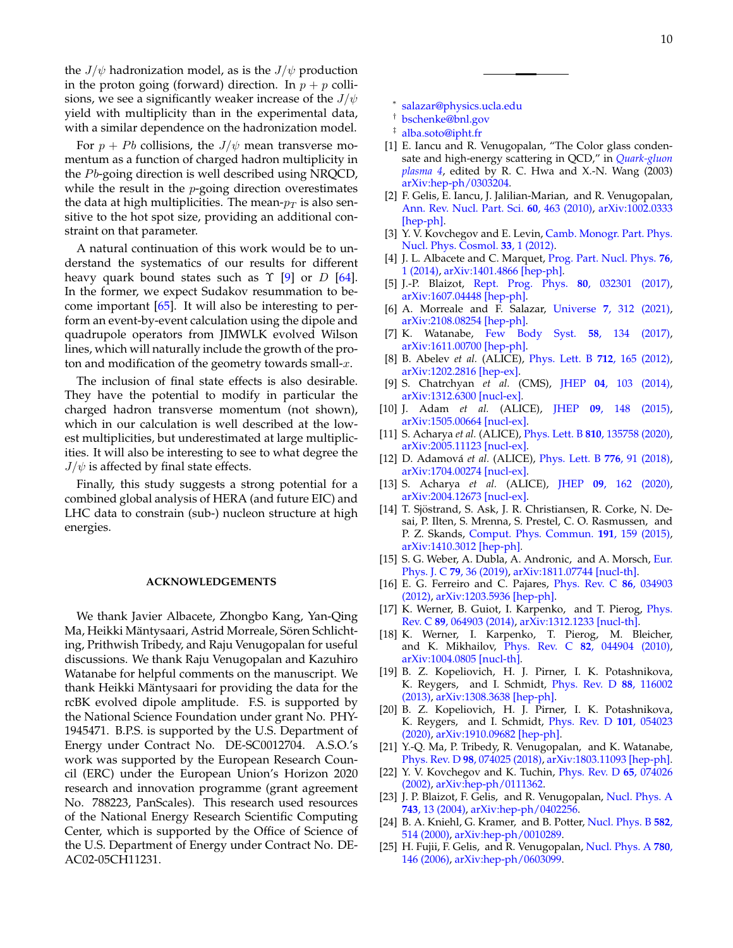the  $J/\psi$  hadronization model, as is the  $J/\psi$  production in the proton going (forward) direction. In  $p + p$  collisions, we see a significantly weaker increase of the  $J/\psi$ yield with multiplicity than in the experimental data, with a similar dependence on the hadronization model.

For  $p + Pb$  collisions, the  $J/\psi$  mean transverse momentum as a function of charged hadron multiplicity in the  $Pb$ -going direction is well described using NRQCD, while the result in the  $p$ -going direction overestimates the data at high multiplicities. The mean- $p_T$  is also sensitive to the hot spot size, providing an additional constraint on that parameter.

A natural continuation of this work would be to understand the systematics of our results for different heavy quark bound states such as  $\Upsilon$  [\[9\]](#page-9-10) or D [\[64\]](#page-10-36). In the former, we expect Sudakov resummation to become important  $[65]$ . It will also be interesting to perform an event-by-event calculation using the dipole and quadrupole operators from JIMWLK evolved Wilson lines, which will naturally include the growth of the proton and modification of the geometry towards small- $x$ .

The inclusion of final state effects is also desirable. They have the potential to modify in particular the charged hadron transverse momentum (not shown), which in our calculation is well described at the lowest multiplicities, but underestimated at large multiplicities. It will also be interesting to see to what degree the  $J/\psi$  is affected by final state effects.

Finally, this study suggests a strong potential for a combined global analysis of HERA (and future EIC) and LHC data to constrain (sub-) nucleon structure at high energies.

### **ACKNOWLEDGEMENTS**

We thank Javier Albacete, Zhongbo Kang, Yan-Qing Ma, Heikki Mäntysaari, Astrid Morreale, Sören Schlichting, Prithwish Tribedy, and Raju Venugopalan for useful discussions. We thank Raju Venugopalan and Kazuhiro Watanabe for helpful comments on the manuscript. We thank Heikki Mäntysaari for providing the data for the rcBK evolved dipole amplitude. F.S. is supported by the National Science Foundation under grant No. PHY-1945471. B.P.S. is supported by the U.S. Department of Energy under Contract No. DE-SC0012704. A.S.O.'s work was supported by the European Research Council (ERC) under the European Union's Horizon 2020 research and innovation programme (grant agreement No. 788223, PanScales). This research used resources of the National Energy Research Scientific Computing Center, which is supported by the Office of Science of the U.S. Department of Energy under Contract No. DE-AC02-05CH11231.

- <span id="page-9-0"></span>∗ [salazar@physics.ucla.edu](mailto:salazar@physics.ucla.edu)
- <span id="page-9-1"></span>† [bschenke@bnl.gov](mailto:bschenke@bnl.gov)
- <span id="page-9-2"></span>‡ [alba.soto@ipht.fr](mailto:alba.soto@ipht.fr)
- <span id="page-9-3"></span>[1] E. Iancu and R. Venugopalan, "The Color glass condensate and high-energy scattering in QCD," in *[Quark-gluon](https://doi.org/ 10.1142/9789812795533_0005) [plasma 4](https://doi.org/ 10.1142/9789812795533_0005)*, edited by R. C. Hwa and X.-N. Wang (2003) [arXiv:hep-ph/0303204.](http://arxiv.org/abs/hep-ph/0303204)
- [2] F. Gelis, E. Iancu, J. Jalilian-Marian, and R. Venugopalan, [Ann. Rev. Nucl. Part. Sci.](https://doi.org/10.1146/annurev.nucl.010909.083629) **60**, 463 (2010), [arXiv:1002.0333](http://arxiv.org/abs/1002.0333) [\[hep-ph\].](http://arxiv.org/abs/1002.0333)
- <span id="page-9-4"></span>[3] Y. V. Kovchegov and E. Levin, [Camb. Monogr. Part. Phys.](https://doi.org/10.1017/CBO9781139022187) [Nucl. Phys. Cosmol.](https://doi.org/10.1017/CBO9781139022187) **33**, 1 (2012).
- <span id="page-9-5"></span>[4] J. L. Albacete and C. Marquet, [Prog. Part. Nucl. Phys.](https://doi.org/10.1016/j.ppnp.2014.01.004) **76**, [1 \(2014\),](https://doi.org/10.1016/j.ppnp.2014.01.004) [arXiv:1401.4866 \[hep-ph\].](http://arxiv.org/abs/1401.4866)
- [5] J.-P. Blaizot, [Rept. Prog. Phys.](https://doi.org/10.1088/1361-6633/aa5435) **80**, 032301 (2017), [arXiv:1607.04448 \[hep-ph\].](http://arxiv.org/abs/1607.04448)
- <span id="page-9-6"></span>[6] A. Morreale and F. Salazar, Universe **7**[, 312 \(2021\),](https://doi.org/10.3390/universe7080312) [arXiv:2108.08254 \[hep-ph\].](http://arxiv.org/abs/2108.08254)
- <span id="page-9-7"></span>[7] K. Watanabe, [Few Body Syst.](https://doi.org/10.1007/s00601-017-1297-z) **58**, 134 (2017), [arXiv:1611.00700 \[hep-ph\].](http://arxiv.org/abs/1611.00700)
- <span id="page-9-8"></span>[8] B. Abelev *et al.* (ALICE), [Phys. Lett. B](https://doi.org/10.1016/j.physletb.2012.04.052) **712**, 165 (2012), [arXiv:1202.2816 \[hep-ex\].](http://arxiv.org/abs/1202.2816)
- <span id="page-9-10"></span>[9] S. Chatrchyan *et al.* (CMS), JHEP **04**[, 103 \(2014\),](https://doi.org/10.1007/JHEP04(2014)103) [arXiv:1312.6300 \[nucl-ex\].](http://arxiv.org/abs/1312.6300)
- <span id="page-9-13"></span>[10] J. Adam *et al.* (ALICE), JHEP **09**[, 148 \(2015\),](https://doi.org/ 10.1007/JHEP09(2015)148) [arXiv:1505.00664 \[nucl-ex\].](http://arxiv.org/abs/1505.00664)
- <span id="page-9-9"></span>[11] S. Acharya *et al.* (ALICE), Phys. Lett. B **810**[, 135758 \(2020\),](https://doi.org/10.1016/j.physletb.2020.135758) [arXiv:2005.11123 \[nucl-ex\].](http://arxiv.org/abs/2005.11123)
- <span id="page-9-11"></span>[12] D. Adamova´ *et al.* (ALICE), [Phys. Lett. B](https://doi.org/10.1016/j.physletb.2017.11.008) **776**, 91 (2018), [arXiv:1704.00274 \[nucl-ex\].](http://arxiv.org/abs/1704.00274)
- <span id="page-9-12"></span>[13] S. Acharya *et al.* (ALICE), JHEP **09**[, 162 \(2020\),](https://doi.org/10.1007/JHEP09(2020)162) [arXiv:2004.12673 \[nucl-ex\].](http://arxiv.org/abs/2004.12673)
- <span id="page-9-14"></span>[14] T. Sjöstrand, S. Ask, J. R. Christiansen, R. Corke, N. Desai, P. Ilten, S. Mrenna, S. Prestel, C. O. Rasmussen, and P. Z. Skands, [Comput. Phys. Commun.](https://doi.org/10.1016/j.cpc.2015.01.024) **191**, 159 (2015), [arXiv:1410.3012 \[hep-ph\].](http://arxiv.org/abs/1410.3012)
- [15] S. G. Weber, A. Dubla, A. Andronic, and A. Morsch, [Eur.](https://doi.org/10.1140/epjc/s10052-018-6531-4) Phys. J. C **79**[, 36 \(2019\),](https://doi.org/10.1140/epjc/s10052-018-6531-4) [arXiv:1811.07744 \[nucl-th\].](http://arxiv.org/abs/1811.07744)
- [16] E. G. Ferreiro and C. Pajares, [Phys. Rev. C](https://doi.org/10.1103/PhysRevC.86.034903) **86**, 034903 [\(2012\),](https://doi.org/10.1103/PhysRevC.86.034903) [arXiv:1203.5936 \[hep-ph\].](http://arxiv.org/abs/1203.5936)
- [17] K. Werner, B. Guiot, I. Karpenko, and T. Pierog, *[Phys.](https://doi.org/10.1103/PhysRevC.89.064903)* Rev. C **89**[, 064903 \(2014\),](https://doi.org/10.1103/PhysRevC.89.064903) [arXiv:1312.1233 \[nucl-th\].](http://arxiv.org/abs/1312.1233)
- [18] K. Werner, I. Karpenko, T. Pierog, M. Bleicher, and K. Mikhailov, Phys. Rev. C **82**[, 044904 \(2010\),](https://doi.org/ 10.1103/PhysRevC.82.044904) [arXiv:1004.0805 \[nucl-th\].](http://arxiv.org/abs/1004.0805)
- [19] B. Z. Kopeliovich, H. J. Pirner, I. K. Potashnikova, K. Reygers, and I. Schmidt, [Phys. Rev. D](https://doi.org/10.1103/PhysRevD.88.116002) **88**, 116002 [\(2013\),](https://doi.org/10.1103/PhysRevD.88.116002) [arXiv:1308.3638 \[hep-ph\].](http://arxiv.org/abs/1308.3638)
- <span id="page-9-15"></span>[20] B. Z. Kopeliovich, H. J. Pirner, I. K. Potashnikova, K. Reygers, and I. Schmidt, [Phys. Rev. D](https://doi.org/10.1103/PhysRevD.101.054023) **101**, 054023 [\(2020\),](https://doi.org/10.1103/PhysRevD.101.054023) [arXiv:1910.09682 \[hep-ph\].](http://arxiv.org/abs/1910.09682)
- <span id="page-9-16"></span>[21] Y.-Q. Ma, P. Tribedy, R. Venugopalan, and K. Watanabe, Phys. Rev. D **98**[, 074025 \(2018\),](https://doi.org/10.1103/PhysRevD.98.074025) [arXiv:1803.11093 \[hep-ph\].](http://arxiv.org/abs/1803.11093)
- <span id="page-9-17"></span>[22] Y. V. Kovchegov and K. Tuchin, [Phys. Rev. D](https://doi.org/10.1103/PhysRevD.65.074026) **65**, 074026 [\(2002\),](https://doi.org/10.1103/PhysRevD.65.074026) [arXiv:hep-ph/0111362.](http://arxiv.org/abs/hep-ph/0111362)
- <span id="page-9-18"></span>[23] J. P. Blaizot, F. Gelis, and R. Venugopalan, [Nucl. Phys. A](https://doi.org/10.1016/j.nuclphysa.2004.07.005) **743**[, 13 \(2004\),](https://doi.org/10.1016/j.nuclphysa.2004.07.005) [arXiv:hep-ph/0402256.](http://arxiv.org/abs/hep-ph/0402256)
- <span id="page-9-19"></span>[24] B. A. Kniehl, G. Kramer, and B. Potter, [Nucl. Phys. B](https://doi.org/10.1016/S0550-3213(00)00303-5) **582**, [514 \(2000\),](https://doi.org/10.1016/S0550-3213(00)00303-5) [arXiv:hep-ph/0010289.](http://arxiv.org/abs/hep-ph/0010289)
- <span id="page-9-20"></span>[25] H. Fujii, F. Gelis, and R. Venugopalan, [Nucl. Phys. A](https://doi.org/10.1016/j.nuclphysa.2006.09.012) **780**, [146 \(2006\),](https://doi.org/10.1016/j.nuclphysa.2006.09.012) [arXiv:hep-ph/0603099.](http://arxiv.org/abs/hep-ph/0603099)